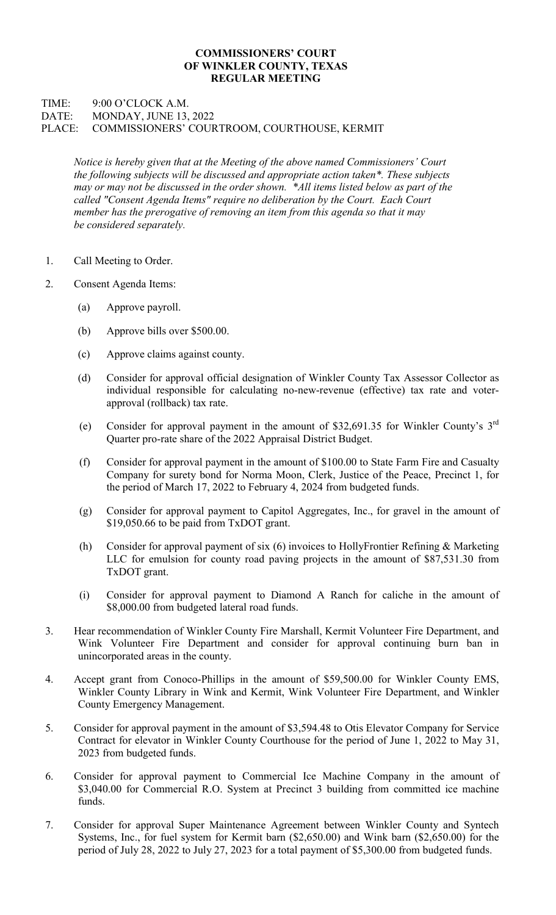## COMMISSIONERS' COURT OF WINKLER COUNTY, TEXAS REGULAR MEETING

## TIME: 9:00 O'CLOCK A.M. DATE: MONDAY, JUNE 13, 2022 PLACE: COMMISSIONERS' COURTROOM, COURTHOUSE, KERMIT

Notice is hereby given that at the Meeting of the above named Commissioners' Court the following subjects will be discussed and appropriate action taken\*. These subjects may or may not be discussed in the order shown. \*All items listed below as part of the called "Consent Agenda Items" require no deliberation by the Court. Each Court member has the prerogative of removing an item from this agenda so that it may be considered separately.

- 1. Call Meeting to Order.
- 2. Consent Agenda Items:
	- (a) Approve payroll.
	- (b) Approve bills over \$500.00.
	- (c) Approve claims against county.
	- (d) Consider for approval official designation of Winkler County Tax Assessor Collector as individual responsible for calculating no-new-revenue (effective) tax rate and voterapproval (rollback) tax rate.
	- (e) Consider for approval payment in the amount of \$32,691.35 for Winkler County's  $3<sup>rd</sup>$ Quarter pro-rate share of the 2022 Appraisal District Budget.
		- (f) Consider for approval payment in the amount of \$100.00 to State Farm Fire and Casualty Company for surety bond for Norma Moon, Clerk, Justice of the Peace, Precinct 1, for the period of March 17, 2022 to February 4, 2024 from budgeted funds.
		- (g) Consider for approval payment to Capitol Aggregates, Inc., for gravel in the amount of \$19,050.66 to be paid from TxDOT grant.
		- (h) Consider for approval payment of six (6) invoices to HollyFrontier Refining & Marketing LLC for emulsion for county road paving projects in the amount of \$87,531.30 from TxDOT grant.
		- (i) Consider for approval payment to Diamond A Ranch for caliche in the amount of \$8,000.00 from budgeted lateral road funds.
- 3. Hear recommendation of Winkler County Fire Marshall, Kermit Volunteer Fire Department, and Wink Volunteer Fire Department and consider for approval continuing burn ban in unincorporated areas in the county.
- 4. Accept grant from Conoco-Phillips in the amount of \$59,500.00 for Winkler County EMS, Winkler County Library in Wink and Kermit, Wink Volunteer Fire Department, and Winkler County Emergency Management.
- 5. Consider for approval payment in the amount of \$3,594.48 to Otis Elevator Company for Service Contract for elevator in Winkler County Courthouse for the period of June 1, 2022 to May 31, 2023 from budgeted funds.
- 6. Consider for approval payment to Commercial Ice Machine Company in the amount of \$3,040.00 for Commercial R.O. System at Precinct 3 building from committed ice machine funds.
- 7. Consider for approval Super Maintenance Agreement between Winkler County and Syntech Systems, Inc., for fuel system for Kermit barn (\$2,650.00) and Wink barn (\$2,650.00) for the period of July 28, 2022 to July 27, 2023 for a total payment of \$5,300.00 from budgeted funds.